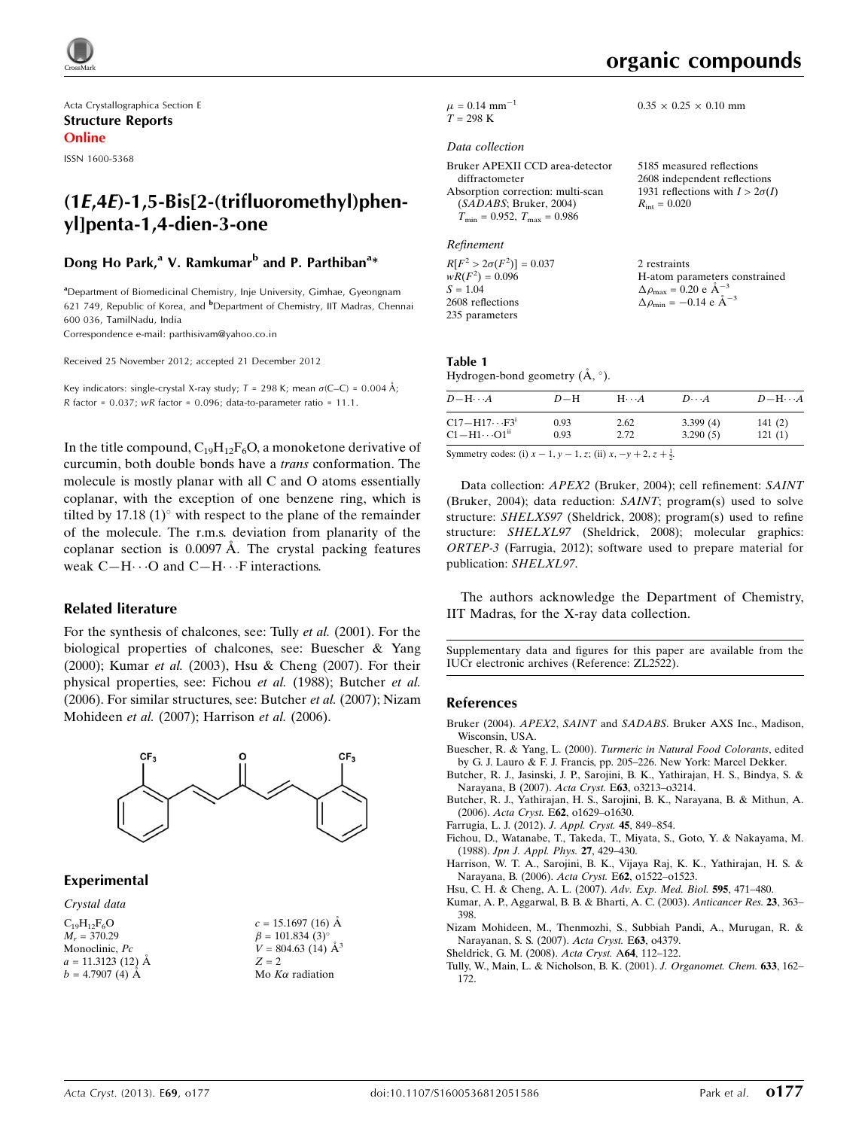

Acta Crystallographica Section E Structure Reports Online

ISSN 1600-5368

# $(1E,4E)-1,5-Bis[2-(\text{trifluoromethyl})$ phenyl]penta-1,4-dien-3-one

# Dong Ho Park,<sup>a</sup> V. Ramkumar<sup>b</sup> and P. Parthiban<sup>a</sup>\*

<sup>a</sup> Department of Biomedicinal Chemistry, Inje University, Gimhae, Gyeongnam 621 749, Republic of Korea, and <sup>b</sup>Department of Chemistry, IIT Madras, Chennai 600 036, TamilNadu, India

Correspondence e-mail: [parthisivam@yahoo.co.in](http://scripts.iucr.org/cgi-bin/cr.cgi?rm=pdfbb&cnor=zl2522&bbid=BB12)

Received 25 November 2012; accepted 21 December 2012

Key indicators: single-crystal X-ray study;  $T = 298$  K; mean  $\sigma$ (C–C) = 0.004 Å; R factor =  $0.037$ ; wR factor =  $0.096$ ; data-to-parameter ratio =  $11.1$ .

In the title compound,  $C_{19}H_{12}F_6O$ , a monoketone derivative of curcumin, both double bonds have a trans conformation. The molecule is mostly planar with all C and O atoms essentially coplanar, with the exception of one benzene ring, which is tilted by  $17.18(1)^\circ$  with respect to the plane of the remainder of the molecule. The r.m.s. deviation from planarity of the coplanar section is  $0.0097$  Å. The crystal packing features weak  $C-H \cdots O$  and  $C-H \cdots F$  interactions.

#### Related literature

For the synthesis of chalcones, see: Tully et al. (2001). For the biological properties of chalcones, see: Buescher & Yang (2000); Kumar et al. (2003), Hsu & Cheng (2007). For their physical properties, see: Fichou et al. (1988); Butcher et al. (2006). For similar structures, see: Butcher et al. (2007); Nizam Mohideen et al. (2007); Harrison et al. (2006).



#### Experimental

Crystal data

 $C_{19}H_{12}F_6O$  $M_r = 370.29$ Monoclinic, Pc  $a = 11.3123(12)$  Å  $b = 4.7907(4)$   $\AA$ 

| $c = 15.1697(16)$ Å       |
|---------------------------|
| $\beta = 101.834(3)$ °    |
| $V = 804.63$ (14) $\AA^3$ |
| $Z = 2$                   |
| Mo $K\alpha$ radiation    |

H-atom parameters constrained

 $0.35 \times 0.25 \times 0.10$  mm

2 restraints

 $\Delta \rho_{\text{max}} = 0.20 \text{ e A}^{-3}$  $\Delta \rho_{\rm min} = -0.14 \text{ e A}^{-3}$ 

 $\mu$  = 0.14 mm<sup>-1</sup>  $T = 298 \text{ K}$ 

#### Data collection

| Bruker APEXII CCD area-detector                  | 5185 measured reflections              |
|--------------------------------------------------|----------------------------------------|
| diffractometer                                   | 2608 independent reflections           |
| Absorption correction: multi-scan                | 1931 reflections with $I > 2\sigma(I)$ |
| (SADABS; Bruker, 2004)                           | $R_{\rm int} = 0.020$                  |
| $T_{\text{min}} = 0.952, T_{\text{max}} = 0.986$ |                                        |

Refinement

 $R[F^2 > 2\sigma(F^2)] = 0.037$ <br>  $wR(F^2) = 0.096$  $S = 1.04$ 2608 reflections 235 parameters

#### Table 1 Hydrogen-bond geometry  $(\AA, \degree)$ .

| $D - H \cdots A$        | $D-H$ | $H\cdots A$ | $D\cdots A$ | $D - H \cdots A$ |
|-------------------------|-------|-------------|-------------|------------------|
| $C17 - H17 \cdots F3^i$ | 0.93  | 2.62        | 3.399(4)    | 141(2)           |
| $Cl-H1\cdots O1n$       | 0.93  | 2.72        | 3.290(5)    | 121(1)           |
|                         |       |             |             |                  |

Symmetry codes: (i)  $x - 1$ ,  $y - 1$ , z; (ii)  $x$ ,  $-y + 2$ ,  $z + \frac{1}{2}$ .

Data collection: APEX2 (Bruker, 2004); cell refinement: SAINT (Bruker, 2004); data reduction: SAINT; program(s) used to solve structure: SHELXS97 (Sheldrick, 2008); program(s) used to refine structure: SHELXL97 (Sheldrick, 2008); molecular graphics: ORTEP-3 (Farrugia, 2012); software used to prepare material for publication: SHELXL97.

The authors acknowledge the Department of Chemistry, IIT Madras, for the X-ray data collection.

Supplementary data and figures for this paper are available from the IUCr electronic archives (Reference: ZL2522).

#### References

- Bruker (2004). APEX2, SAINT and SADABS[. Bruker AXS Inc., Madison,](http://scripts.iucr.org/cgi-bin/cr.cgi?rm=pdfbb&cnor=zl2522&bbid=BB1) [Wisconsin, USA.](http://scripts.iucr.org/cgi-bin/cr.cgi?rm=pdfbb&cnor=zl2522&bbid=BB1)
- Buescher, R. & Yang, L. (2000). [Turmeric in Natural Food Colorants](http://scripts.iucr.org/cgi-bin/cr.cgi?rm=pdfbb&cnor=zl2522&bbid=BB2), edited [by G. J. Lauro & F. J. Francis, pp. 205–226. New York: Marcel Dekker.](http://scripts.iucr.org/cgi-bin/cr.cgi?rm=pdfbb&cnor=zl2522&bbid=BB2)
- [Butcher, R. J., Jasinski, J. P., Sarojini, B. K., Yathirajan, H. S., Bindya, S. &](http://scripts.iucr.org/cgi-bin/cr.cgi?rm=pdfbb&cnor=zl2522&bbid=BB3) [Narayana, B \(2007\).](http://scripts.iucr.org/cgi-bin/cr.cgi?rm=pdfbb&cnor=zl2522&bbid=BB3) Acta Cryst. E63, o3213–o3214.
- [Butcher, R. J., Yathirajan, H. S., Sarojini, B. K., Narayana, B. & Mithun, A.](http://scripts.iucr.org/cgi-bin/cr.cgi?rm=pdfbb&cnor=zl2522&bbid=BB4) (2006). Acta Cryst. E62[, o1629–o1630.](http://scripts.iucr.org/cgi-bin/cr.cgi?rm=pdfbb&cnor=zl2522&bbid=BB4)
- [Farrugia, L. J. \(2012\).](http://scripts.iucr.org/cgi-bin/cr.cgi?rm=pdfbb&cnor=zl2522&bbid=BB5) J. Appl. Cryst. 45, 849–854.
- [Fichou, D., Watanabe, T., Takeda, T., Miyata, S., Goto, Y. & Nakayama, M.](http://scripts.iucr.org/cgi-bin/cr.cgi?rm=pdfbb&cnor=zl2522&bbid=BB6) (1988). [Jpn J. Appl. Phys.](http://scripts.iucr.org/cgi-bin/cr.cgi?rm=pdfbb&cnor=zl2522&bbid=BB6) 27, 429–430.
- [Harrison, W. T. A., Sarojini, B. K., Vijaya Raj, K. K., Yathirajan, H. S. &](http://scripts.iucr.org/cgi-bin/cr.cgi?rm=pdfbb&cnor=zl2522&bbid=BB7) [Narayana, B. \(2006\).](http://scripts.iucr.org/cgi-bin/cr.cgi?rm=pdfbb&cnor=zl2522&bbid=BB7) Acta Cryst. E62, o1522–o1523.
- [Hsu, C. H. & Cheng, A. L. \(2007\).](http://scripts.iucr.org/cgi-bin/cr.cgi?rm=pdfbb&cnor=zl2522&bbid=BB8) Adv. Exp. Med. Biol. 595, 471–480.
- [Kumar, A. P., Aggarwal, B. B. & Bharti, A. C. \(2003\).](http://scripts.iucr.org/cgi-bin/cr.cgi?rm=pdfbb&cnor=zl2522&bbid=BB9) Anticancer Res. 23, 363– [398.](http://scripts.iucr.org/cgi-bin/cr.cgi?rm=pdfbb&cnor=zl2522&bbid=BB9)
- [Nizam Mohideen, M., Thenmozhi, S., Subbiah Pandi, A., Murugan, R. &](http://scripts.iucr.org/cgi-bin/cr.cgi?rm=pdfbb&cnor=zl2522&bbid=BB10) [Narayanan, S. S. \(2007\).](http://scripts.iucr.org/cgi-bin/cr.cgi?rm=pdfbb&cnor=zl2522&bbid=BB10) Acta Cryst. E63, o4379.
- [Sheldrick, G. M. \(2008\).](http://scripts.iucr.org/cgi-bin/cr.cgi?rm=pdfbb&cnor=zl2522&bbid=BB11) Acta Cryst. A64, 112–122.
- [Tully, W., Main, L. & Nicholson, B. K. \(2001\).](http://scripts.iucr.org/cgi-bin/cr.cgi?rm=pdfbb&cnor=zl2522&bbid=BB12) J. Organomet. Chem. 633, 162– [172.](http://scripts.iucr.org/cgi-bin/cr.cgi?rm=pdfbb&cnor=zl2522&bbid=BB12)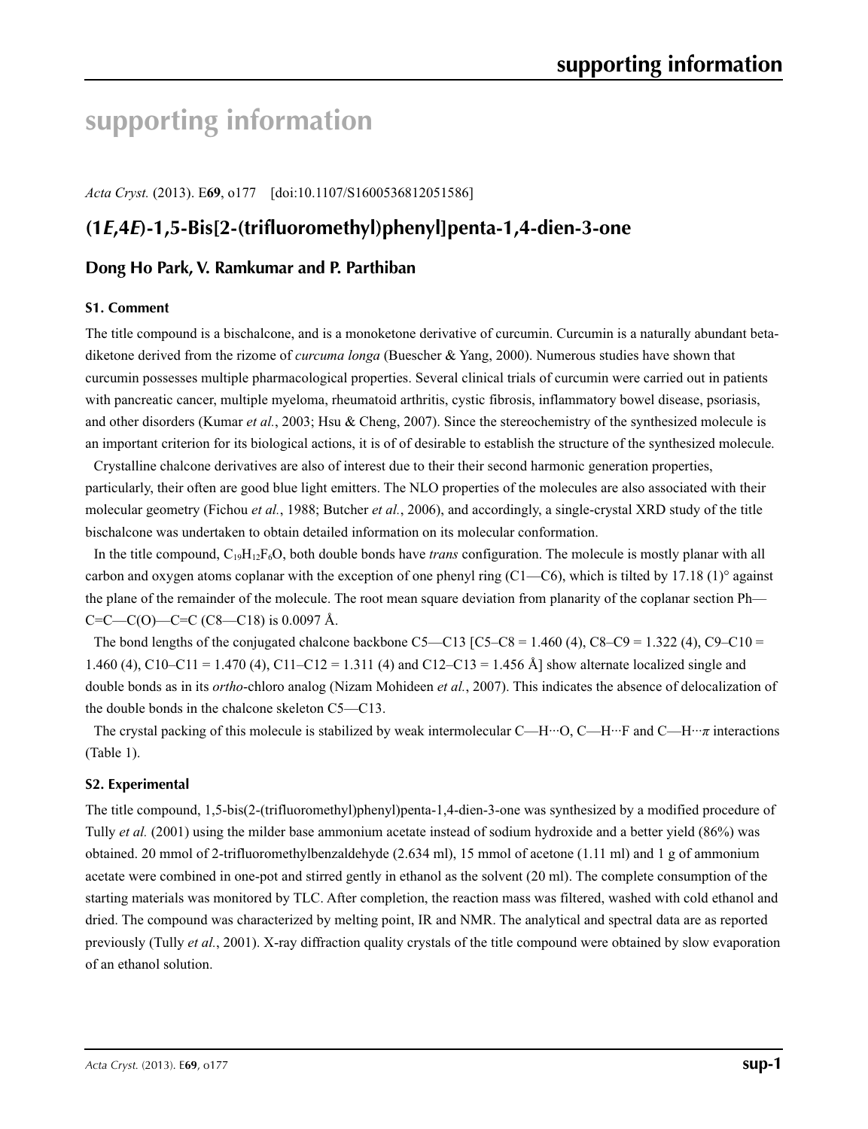# **supporting information**

*Acta Cryst.* (2013). E**69**, o177 [doi:10.1107/S1600536812051586]

# **(1***E***,4***E***)-1,5-Bis[2-(trifluoromethyl)phenyl]penta-1,4-dien-3-one**

# **Dong Ho Park, V. Ramkumar and P. Parthiban**

#### **S1. Comment**

The title compound is a bischalcone, and is a monoketone derivative of curcumin. Curcumin is a naturally abundant betadiketone derived from the rizome of *curcuma longa* (Buescher & Yang, 2000). Numerous studies have shown that curcumin possesses multiple pharmacological properties. Several clinical trials of curcumin were carried out in patients with pancreatic cancer, multiple myeloma, rheumatoid arthritis, cystic fibrosis, inflammatory bowel disease, psoriasis, and other disorders (Kumar *et al.*, 2003; Hsu & Cheng, 2007). Since the stereochemistry of the synthesized molecule is an important criterion for its biological actions, it is of of desirable to establish the structure of the synthesized molecule.

Crystalline chalcone derivatives are also of interest due to their their second harmonic generation properties, particularly, their often are good blue light emitters. The NLO properties of the molecules are also associated with their molecular geometry (Fichou *et al.*, 1988; Butcher *et al.*, 2006), and accordingly, a single-crystal XRD study of the title bischalcone was undertaken to obtain detailed information on its molecular conformation.

In the title compound, C19H12F6O, both double bonds have *trans* configuration. The molecule is mostly planar with all carbon and oxygen atoms coplanar with the exception of one phenyl ring  $(C1-C6)$ , which is tilted by 17.18 (1)° against the plane of the remainder of the molecule. The root mean square deviation from planarity of the coplanar section Ph—  $C=C-C(O)$ —C=C (C8—C18) is 0.0097 Å.

The bond lengths of the conjugated chalcone backbone C5—C13 [C5–C8 = 1.460 (4), C8–C9 = 1.322 (4), C9–C10 = 1.460 (4), C10–C11 = 1.470 (4), C11–C12 = 1.311 (4) and C12–C13 = 1.456 Å] show alternate localized single and double bonds as in its *ortho*-chloro analog (Nizam Mohideen *et al.*, 2007). This indicates the absence of delocalization of the double bonds in the chalcone skeleton C5—C13.

The crystal packing of this molecule is stabilized by weak intermolecular C—H···O, C—H···F and C—H···*π* interactions (Table 1).

#### **S2. Experimental**

The title compound, 1,5-bis(2-(trifluoromethyl)phenyl)penta-1,4-dien-3-one was synthesized by a modified procedure of Tully *et al.* (2001) using the milder base ammonium acetate instead of sodium hydroxide and a better yield (86%) was obtained. 20 mmol of 2-trifluoromethylbenzaldehyde (2.634 ml), 15 mmol of acetone (1.11 ml) and 1 g of ammonium acetate were combined in one-pot and stirred gently in ethanol as the solvent (20 ml). The complete consumption of the starting materials was monitored by TLC. After completion, the reaction mass was filtered, washed with cold ethanol and dried. The compound was characterized by melting point, IR and NMR. The analytical and spectral data are as reported previously (Tully *et al.*, 2001). X-ray diffraction quality crystals of the title compound were obtained by slow evaporation of an ethanol solution.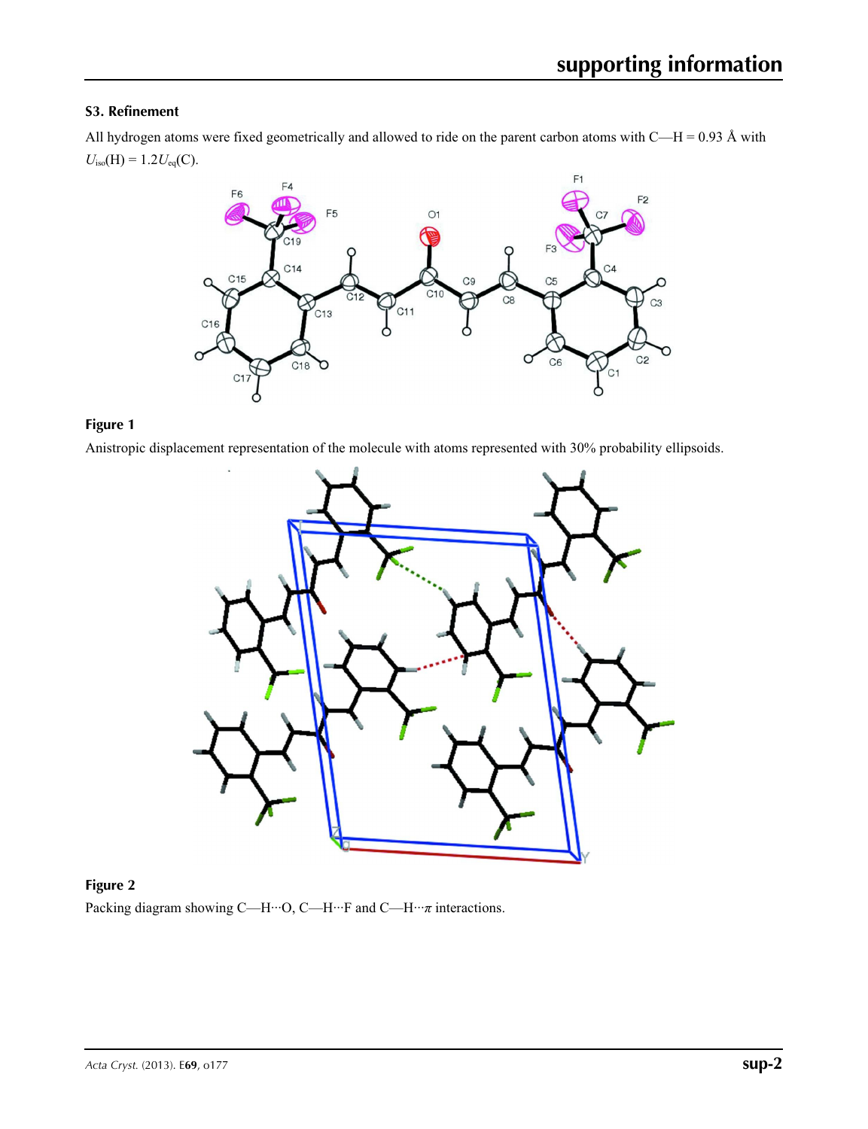## **S3. Refinement**

All hydrogen atoms were fixed geometrically and allowed to ride on the parent carbon atoms with C—H = 0.93 Å with  $U_{\text{iso}}(H) = 1.2 U_{\text{eq}}(C)$ .



# **Figure 1**

Anistropic displacement representation of the molecule with atoms represented with 30% probability ellipsoids.



# **Figure 2**

Packing diagram showing C—H···O, C—H···F and C—H···*π* interactions.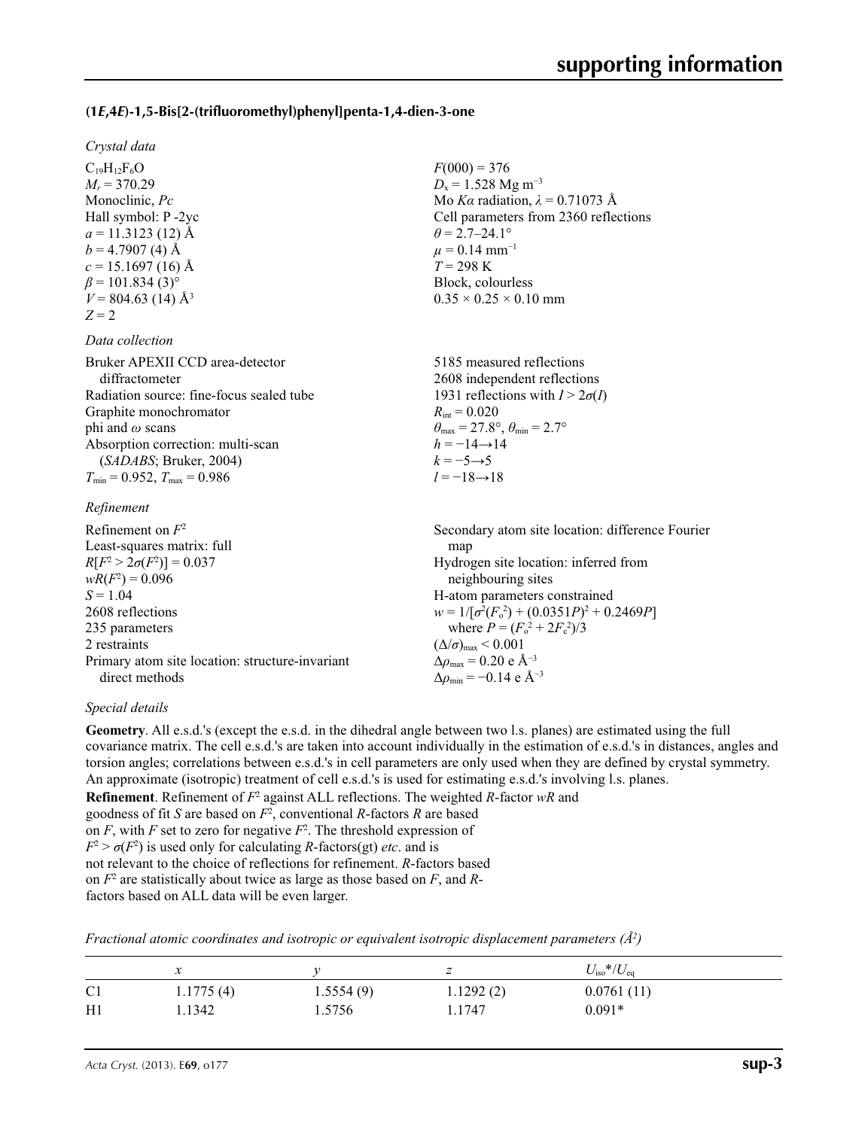## **(1***E***,4***E***)-1,5-Bis[2-(trifluoromethyl)phenyl]penta-1,4-dien-3-one**

#### *Crystal data*

 $C_{19}H_{12}F_6O$  $M_r = 370.29$ Monoclinic, *Pc* Hall symbol: P -2yc  $a = 11.3123(12)$  Å  $b = 4.7907(4)$  Å  $c = 15.1697(16)$  Å  $\beta$  = 101.834 (3)<sup>o</sup>  $V = 804.63$  (14) Å<sup>3</sup>  $Z = 2$ 

#### *Data collection*

| Bruker APEXII CCD area-detector          |
|------------------------------------------|
| diffractometer                           |
| Radiation source: fine-focus sealed tube |
| Graphite monochromator                   |
| phi and $\omega$ scans                   |
| Absorption correction: multi-scan        |
| (SADABS; Bruker, 2004)                   |
| $T_{\min}$ = 0.952, $T_{\max}$ = 0.986   |
|                                          |

#### *Refinement*

| Refinement on $F^2$                             | Secondary atom site location: difference Fourier   |
|-------------------------------------------------|----------------------------------------------------|
| Least-squares matrix: full                      | map                                                |
| $R[F^2 > 2\sigma(F^2)] = 0.037$                 | Hydrogen site location: inferred from              |
| $wR(F^2) = 0.096$                               | neighbouring sites                                 |
| $S = 1.04$                                      | H-atom parameters constrained                      |
| 2608 reflections                                | $w = 1/[\sigma^2(F_0^2) + (0.0351P)^2 + 0.2469P]$  |
| 235 parameters                                  | where $P = (F_o^2 + 2F_c^2)/3$                     |
| 2 restraints                                    | $(\Delta/\sigma)_{\text{max}}$ < 0.001             |
| Primary atom site location: structure-invariant | $\Delta\rho_{\text{max}}$ = 0.20 e Å <sup>-3</sup> |
| direct methods                                  | $\Delta \rho_{\rm min} = -0.14 \text{ e A}^{-3}$   |

#### *Special details*

**Geometry**. All e.s.d.'s (except the e.s.d. in the dihedral angle between two l.s. planes) are estimated using the full covariance matrix. The cell e.s.d.'s are taken into account individually in the estimation of e.s.d.'s in distances, angles and torsion angles; correlations between e.s.d.'s in cell parameters are only used when they are defined by crystal symmetry. An approximate (isotropic) treatment of cell e.s.d.'s is used for estimating e.s.d.'s involving l.s. planes.

 $F(000) = 376$  $D_x = 1.528$  Mg m<sup>-3</sup>

 $\theta$  = 2.7–24.1°  $\mu$  = 0.14 mm<sup>-1</sup> *T* = 298 K Block, colourless  $0.35 \times 0.25 \times 0.10$  mm

 $R_{\text{int}} = 0.020$ 

 $h = -14 \rightarrow 14$  $k = -5 \rightarrow 5$ *l* = −18→18

Mo *Kα* radiation, *λ* = 0.71073 Å Cell parameters from 2360 reflections

5185 measured reflections 2608 independent reflections 1931 reflections with  $I > 2\sigma(I)$ 

 $\theta_{\text{max}} = 27.8^{\circ}, \theta_{\text{min}} = 2.7^{\circ}$ 

**Refinement**. Refinement of  $F^2$  against ALL reflections. The weighted *R*-factor wR and

goodness of fit 
$$
S
$$
 are based on  $F^2$ , conventional  $R$ -factors  $R$  are based

on  $F$ , with  $F$  set to zero for negative  $F^2$ . The threshold expression of

 $F^2 > \sigma(F^2)$  is used only for calculating *R*-factors(gt) *etc*. and is

not relevant to the choice of reflections for refinement. *R*-factors based

on *F*<sup>2</sup> are statistically about twice as large as those based on *F*, and *R*-

factors based on ALL data will be even larger.

|  |  |  | Fractional atomic coordinates and isotropic or equivalent isotropic displacement parameters $(A^2)$ |  |  |
|--|--|--|-----------------------------------------------------------------------------------------------------|--|--|
|  |  |  |                                                                                                     |  |  |

|                | v         |           |           | $U_{\rm iso}$ */ $U_{\rm eq}$ |
|----------------|-----------|-----------|-----------|-------------------------------|
| C <sub>1</sub> | 1.1775(4) | 1.5554(9) | 1.1292(2) | 0.0761(11)                    |
| H1             | .1342     | . .5756   | 1.1747    | $0.091*$                      |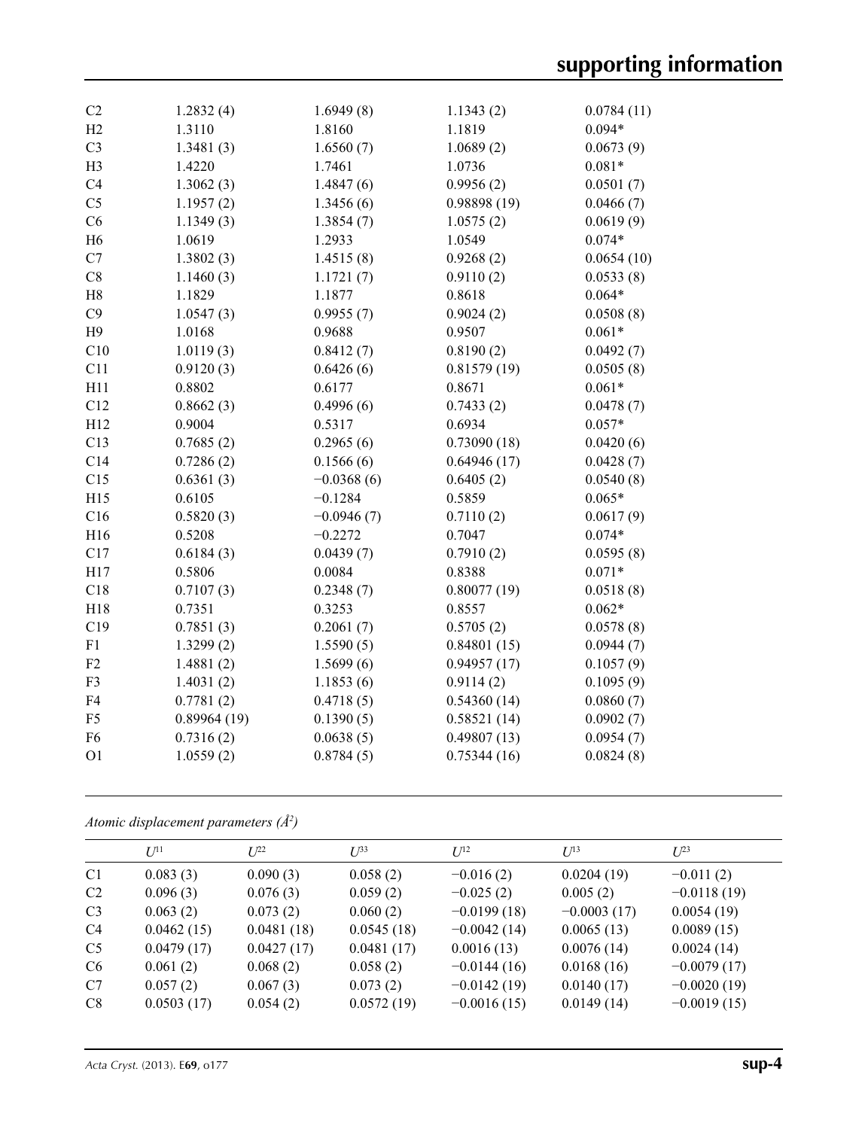| C <sub>2</sub> | 1.2832(4)   | 1.6949(8)    | 1.1343(2)   | 0.0784(11) |
|----------------|-------------|--------------|-------------|------------|
| H2             | 1.3110      | 1.8160       | 1.1819      | $0.094*$   |
| C <sub>3</sub> | 1.3481(3)   | 1.6560(7)    | 1.0689(2)   | 0.0673(9)  |
| H <sub>3</sub> | 1.4220      | 1.7461       | 1.0736      | $0.081*$   |
| C4             | 1.3062(3)   | 1.4847(6)    | 0.9956(2)   | 0.0501(7)  |
| C <sub>5</sub> | 1.1957(2)   | 1.3456(6)    | 0.98898(19) | 0.0466(7)  |
| C6             | 1.1349(3)   | 1.3854(7)    | 1.0575(2)   | 0.0619(9)  |
| H <sub>6</sub> | 1.0619      | 1.2933       | 1.0549      | $0.074*$   |
| C7             | 1.3802(3)   | 1.4515(8)    | 0.9268(2)   | 0.0654(10) |
| C8             | 1.1460(3)   | 1.1721(7)    | 0.9110(2)   | 0.0533(8)  |
| H8             | 1.1829      | 1.1877       | 0.8618      | $0.064*$   |
| C9             | 1.0547(3)   | 0.9955(7)    | 0.9024(2)   | 0.0508(8)  |
| H9             | 1.0168      | 0.9688       | 0.9507      | $0.061*$   |
| C10            | 1.0119(3)   | 0.8412(7)    | 0.8190(2)   | 0.0492(7)  |
| C11            | 0.9120(3)   | 0.6426(6)    | 0.81579(19) | 0.0505(8)  |
| H11            | 0.8802      | 0.6177       | 0.8671      | $0.061*$   |
| C12            | 0.8662(3)   | 0.4996(6)    | 0.7433(2)   | 0.0478(7)  |
| H12            | 0.9004      | 0.5317       | 0.6934      | $0.057*$   |
| C13            | 0.7685(2)   | 0.2965(6)    | 0.73090(18) | 0.0420(6)  |
| C14            | 0.7286(2)   | 0.1566(6)    | 0.64946(17) | 0.0428(7)  |
| C15            | 0.6361(3)   | $-0.0368(6)$ | 0.6405(2)   | 0.0540(8)  |
| H15            | 0.6105      | $-0.1284$    | 0.5859      | $0.065*$   |
| C16            | 0.5820(3)   | $-0.0946(7)$ | 0.7110(2)   | 0.0617(9)  |
| H16            | 0.5208      | $-0.2272$    | 0.7047      | $0.074*$   |
| C17            | 0.6184(3)   | 0.0439(7)    | 0.7910(2)   | 0.0595(8)  |
| H17            | 0.5806      | 0.0084       | 0.8388      | $0.071*$   |
| C18            | 0.7107(3)   | 0.2348(7)    | 0.80077(19) | 0.0518(8)  |
| H18            | 0.7351      | 0.3253       | 0.8557      | $0.062*$   |
| C19            | 0.7851(3)   | 0.2061(7)    | 0.5705(2)   | 0.0578(8)  |
| F1             | 1.3299(2)   | 1.5590(5)    | 0.84801(15) | 0.0944(7)  |
| F <sub>2</sub> | 1.4881(2)   | 1.5699(6)    | 0.94957(17) | 0.1057(9)  |
| F <sub>3</sub> | 1.4031(2)   | 1.1853(6)    | 0.9114(2)   | 0.1095(9)  |
| F4             | 0.7781(2)   | 0.4718(5)    | 0.54360(14) | 0.0860(7)  |
| F <sub>5</sub> | 0.89964(19) | 0.1390(5)    | 0.58521(14) | 0.0902(7)  |
| F <sub>6</sub> | 0.7316(2)   | 0.0638(5)    | 0.49807(13) | 0.0954(7)  |
| O <sub>1</sub> | 1.0559(2)   | 0.8784(5)    | 0.75344(16) | 0.0824(8)  |
|                |             |              |             |            |

### *Atomic displacement parameters (Å2 )*

|                | $U^{11}$   | $L^{22}$   | $I^{\beta 3}$ | $U^{12}$      | $U^{13}$      | $L^{23}$      |
|----------------|------------|------------|---------------|---------------|---------------|---------------|
| C <sub>1</sub> | 0.083(3)   | 0.090(3)   | 0.058(2)      | $-0.016(2)$   | 0.0204(19)    | $-0.011(2)$   |
| C <sub>2</sub> | 0.096(3)   | 0.076(3)   | 0.059(2)      | $-0.025(2)$   | 0.005(2)      | $-0.0118(19)$ |
| C <sub>3</sub> | 0.063(2)   | 0.073(2)   | 0.060(2)      | $-0.0199(18)$ | $-0.0003(17)$ | 0.0054(19)    |
| C <sub>4</sub> | 0.0462(15) | 0.0481(18) | 0.0545(18)    | $-0.0042(14)$ | 0.0065(13)    | 0.0089(15)    |
| C <sub>5</sub> | 0.0479(17) | 0.0427(17) | 0.0481(17)    | 0.0016(13)    | 0.0076(14)    | 0.0024(14)    |
| C <sub>6</sub> | 0.061(2)   | 0.068(2)   | 0.058(2)      | $-0.0144(16)$ | 0.0168(16)    | $-0.0079(17)$ |
| C7             | 0.057(2)   | 0.067(3)   | 0.073(2)      | $-0.0142(19)$ | 0.0140(17)    | $-0.0020(19)$ |
| C8             | 0.0503(17) | 0.054(2)   | 0.0572(19)    | $-0.0016(15)$ | 0.0149(14)    | $-0.0019(15)$ |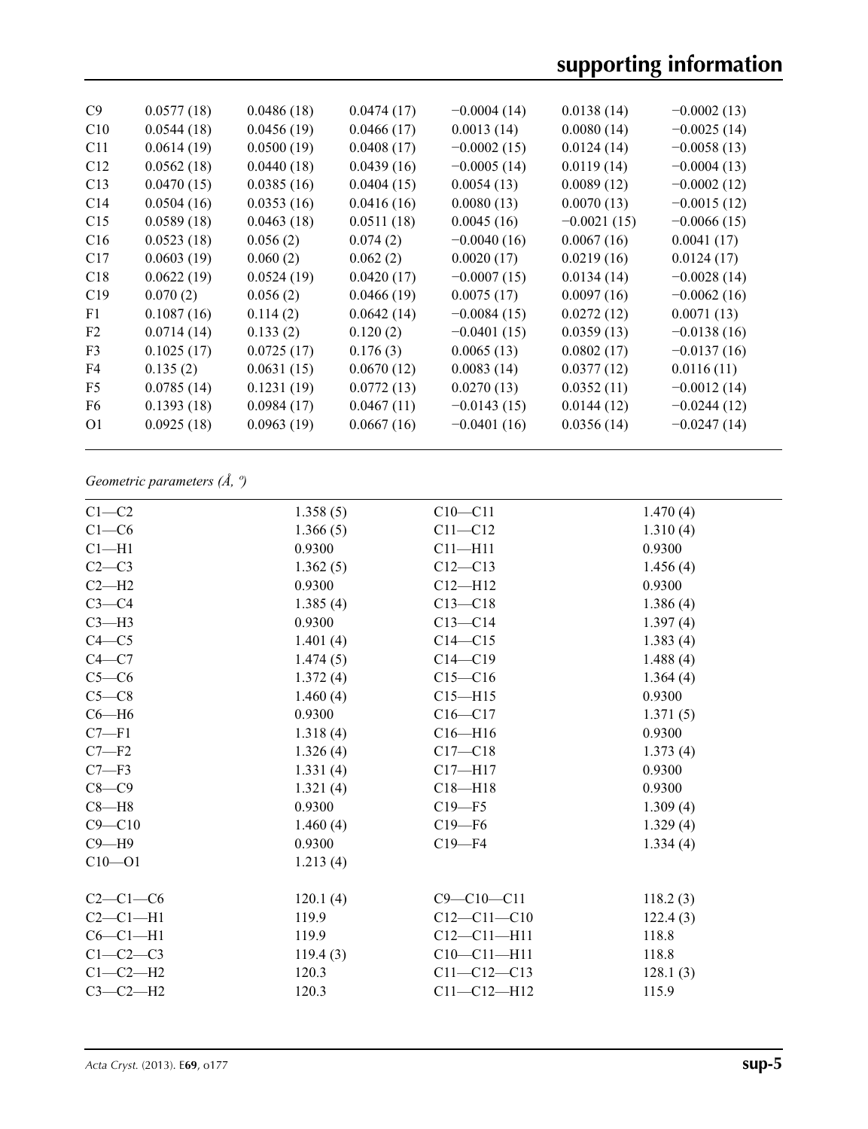| C9              | 0.0577(18) | 0.0486(18) | 0.0474(17) | $-0.0004(14)$ | 0.0138(14)    | $-0.0002(13)$ |
|-----------------|------------|------------|------------|---------------|---------------|---------------|
| C10             | 0.0544(18) | 0.0456(19) | 0.0466(17) | 0.0013(14)    | 0.0080(14)    | $-0.0025(14)$ |
| C <sub>11</sub> | 0.0614(19) | 0.0500(19) | 0.0408(17) | $-0.0002(15)$ | 0.0124(14)    | $-0.0058(13)$ |
| C12             | 0.0562(18) | 0.0440(18) | 0.0439(16) | $-0.0005(14)$ | 0.0119(14)    | $-0.0004(13)$ |
| C13             | 0.0470(15) | 0.0385(16) | 0.0404(15) | 0.0054(13)    | 0.0089(12)    | $-0.0002(12)$ |
| C <sub>14</sub> | 0.0504(16) | 0.0353(16) | 0.0416(16) | 0.0080(13)    | 0.0070(13)    | $-0.0015(12)$ |
| C15             | 0.0589(18) | 0.0463(18) | 0.0511(18) | 0.0045(16)    | $-0.0021(15)$ | $-0.0066(15)$ |
| C16             | 0.0523(18) | 0.056(2)   | 0.074(2)   | $-0.0040(16)$ | 0.0067(16)    | 0.0041(17)    |
| C17             | 0.0603(19) | 0.060(2)   | 0.062(2)   | 0.0020(17)    | 0.0219(16)    | 0.0124(17)    |
| C18             | 0.0622(19) | 0.0524(19) | 0.0420(17) | $-0.0007(15)$ | 0.0134(14)    | $-0.0028(14)$ |
| C19             | 0.070(2)   | 0.056(2)   | 0.0466(19) | 0.0075(17)    | 0.0097(16)    | $-0.0062(16)$ |
| F1              | 0.1087(16) | 0.114(2)   | 0.0642(14) | $-0.0084(15)$ | 0.0272(12)    | 0.0071(13)    |
| F <sub>2</sub>  | 0.0714(14) | 0.133(2)   | 0.120(2)   | $-0.0401(15)$ | 0.0359(13)    | $-0.0138(16)$ |
| F <sub>3</sub>  | 0.1025(17) | 0.0725(17) | 0.176(3)   | 0.0065(13)    | 0.0802(17)    | $-0.0137(16)$ |
| F4              | 0.135(2)   | 0.0631(15) | 0.0670(12) | 0.0083(14)    | 0.0377(12)    | 0.0116(11)    |
| F5              | 0.0785(14) | 0.1231(19) | 0.0772(13) | 0.0270(13)    | 0.0352(11)    | $-0.0012(14)$ |
| F6              | 0.1393(18) | 0.0984(17) | 0.0467(11) | $-0.0143(15)$ | 0.0144(12)    | $-0.0244(12)$ |
| O <sub>1</sub>  | 0.0925(18) | 0.0963(19) | 0.0667(16) | $-0.0401(16)$ | 0.0356(14)    | $-0.0247(14)$ |
|                 |            |            |            |               |               |               |

# *Geometric parameters (Å, º)*

| $C1-C2$    | 1.358(5) | $C10 - C11$       | 1.470(4) |
|------------|----------|-------------------|----------|
| $C1-C6$    | 1.366(5) | $C11 - C12$       | 1.310(4) |
| $C1 - H1$  | 0.9300   | $C11 - H11$       | 0.9300   |
| $C2-C3$    | 1.362(5) | $C12 - C13$       | 1.456(4) |
| $C2-H2$    | 0.9300   | $C12 - H12$       | 0.9300   |
| $C3-C4$    | 1.385(4) | $C13 - C18$       | 1.386(4) |
| $C3-H3$    | 0.9300   | $C13 - C14$       | 1.397(4) |
| $C4 - C5$  | 1.401(4) | $C14 - C15$       | 1.383(4) |
| $C4 - C7$  | 1.474(5) | $C14 - C19$       | 1.488(4) |
| $C5-C6$    | 1.372(4) | $C15 - C16$       | 1.364(4) |
| $C5-C8$    | 1.460(4) | $C15 - H15$       | 0.9300   |
| $C6 - H6$  | 0.9300   | $C16-C17$         | 1.371(5) |
| $C7 - F1$  | 1.318(4) | $C16 - H16$       | 0.9300   |
| $C7 - F2$  | 1.326(4) | $C17 - C18$       | 1.373(4) |
| $C7 - F3$  | 1.331(4) | $C17 - H17$       | 0.9300   |
| $C8-C9$    | 1.321(4) | $C18 - H18$       | 0.9300   |
| $C8 - H8$  | 0.9300   | $C19 - F5$        | 1.309(4) |
| $C9 - C10$ | 1.460(4) | $C19 - F6$        | 1.329(4) |
| $C9 - H9$  | 0.9300   | $C19 - F4$        | 1.334(4) |
| $C10 - 01$ | 1.213(4) |                   |          |
| $C2-C1-C6$ | 120.1(4) | $C9 - C10 - C11$  | 118.2(3) |
| $C2-C1-H1$ | 119.9    | $C12 - C11 - C10$ | 122.4(3) |
| $C6-C1-H1$ | 119.9    | $C12 - C11 - H11$ | 118.8    |
| $C1-C2-C3$ | 119.4(3) | $C10-C11-H11$     | 118.8    |
| $C1-C2-H2$ | 120.3    | $C11 - C12 - C13$ | 128.1(3) |
| $C3-C2-H2$ | 120.3    | $C11 - C12 - H12$ | 115.9    |
|            |          |                   |          |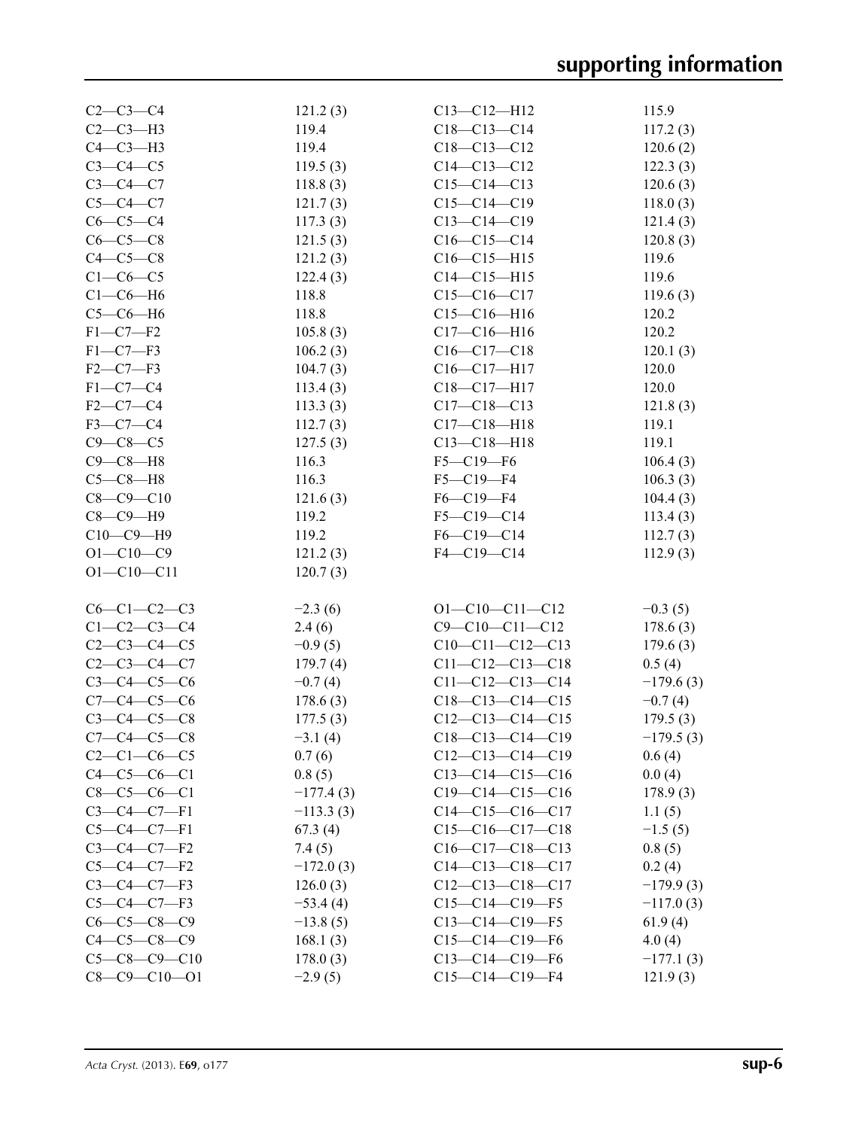| $C2 - C3 - C4$       | 121.2(3)    | $C13 - C12 - H12$      | 115.9       |
|----------------------|-------------|------------------------|-------------|
| $C2-C3-H3$           | 119.4       | $C18-C13-C14$          | 117.2(3)    |
| $C4-C3-H3$           | 119.4       | $C18 - C13 - C12$      | 120.6(2)    |
| $C3-C4-C5$           | 119.5(3)    | $C14 - C13 - C12$      | 122.3(3)    |
| $C3-C4-C7$           | 118.8(3)    | $C15-C14-C13$          | 120.6(3)    |
| $C5-C4-C7$           | 121.7(3)    | $C15-C14-C19$          | 118.0(3)    |
| $C6-C5-C4$           | 117.3(3)    | $C13 - C14 - C19$      | 121.4(3)    |
| $C6-C5-C8$           | 121.5(3)    | $C16-C15-C14$          | 120.8(3)    |
| $C4-C5-C8$           | 121.2(3)    | $C16-C15-H15$          | 119.6       |
| $C1-C6-C5$           | 122.4(3)    | $C14 - C15 - H15$      | 119.6       |
| $C1-C6-H6$           | 118.8       | $C15-C16-C17$          | 119.6(3)    |
| $C5-C6-H6$           | 118.8       | $C15-C16-H16$          | 120.2       |
| $F1-C7-F2$           | 105.8(3)    | $C17 - C16 - H16$      | 120.2       |
| $F1-C7-F3$           | 106.2(3)    | $C16-C17-C18$          | 120.1(3)    |
| $F2-C7-F3$           | 104.7(3)    |                        | 120.0       |
| $F1-C7-C4$           |             | $C16-C17-H17$          |             |
|                      | 113.4(3)    | $C18-C17-H17$          | 120.0       |
| $F2-C7-C4$           | 113.3(3)    | $C17 - C18 - C13$      | 121.8(3)    |
| $F3-C7-C4$           | 112.7(3)    | $C17 - C18 - H18$      | 119.1       |
| $C9 - C8 - C5$       | 127.5(3)    | $C13 - C18 - H18$      | 119.1       |
| $C9 - C8 - H8$       | 116.3       | $F5 - C19 - F6$        | 106.4(3)    |
| $C5-C8-H8$           | 116.3       | $F5 - C19 - F4$        | 106.3(3)    |
| $C8 - C9 - C10$      | 121.6(3)    | $F6-C19-F4$            | 104.4(3)    |
| $C8-C9-H9$           | 119.2       | $F5 - C19 - C14$       | 113.4(3)    |
| $C10-C9-H9$          | 119.2       | F6-C19-C14             | 112.7(3)    |
| $O1 - C10 - C9$      | 121.2(3)    | F4-C19-C14             | 112.9(3)    |
| $O1 - C10 - C11$     | 120.7(3)    |                        |             |
| $C6-C1-C2-C3$        | $-2.3(6)$   | $O1 - C10 - C11 - C12$ | $-0.3(5)$   |
| $C1 - C2 - C3 - C4$  | 2.4(6)      | $C9 - C10 - C11 - C12$ | 178.6(3)    |
| $C2 - C3 - C4 - C5$  | $-0.9(5)$   | $C10-C11-C12-C13$      | 179.6(3)    |
| $C2 - C3 - C4 - C7$  | 179.7(4)    | $C11-C12-C13-C18$      | 0.5(4)      |
| $C3 - C4 - C5 - C6$  | $-0.7(4)$   | $C11-C12-C13-C14$      | $-179.6(3)$ |
| $C7 - C4 - C5 - C6$  | 178.6(3)    | $C18-C13-C14-C15$      | $-0.7(4)$   |
| $C3 - C4 - C5 - C8$  | 177.5(3)    | $C12-C13-C14-C15$      | 179.5(3)    |
| $C7 - C4 - C5 - C8$  | $-3.1(4)$   | $C18-C13-C14-C19$      | $-179.5(3)$ |
|                      |             | $C12-C13-C14-C19$      |             |
| $C2-C1-C6-C5$        | 0.7(6)      |                        | 0.6(4)      |
| $C4-C5-C6-C1$        | 0.8(5)      | $C13-C14-C15-C16$      | 0.0(4)      |
| $C8-C5-C6-C1$        | $-177.4(3)$ | $C19-C14-C15-C16$      | 178.9(3)    |
| $C3-C4-C7-F1$        | $-113.3(3)$ | $C14-C15-C16-C17$      | 1.1(5)      |
| $C5-C4-C7-F1$        | 67.3(4)     | $C15-C16-C17-C18$      | $-1.5(5)$   |
| $C3-C4-C7-F2$        | 7.4(5)      | $C16-C17-C18-C13$      | 0.8(5)      |
| $C5-C4-C7-F2$        | $-172.0(3)$ | $C14-C13-C18-C17$      | 0.2(4)      |
| $C3-C4-C7-F3$        | 126.0(3)    | $C12-C13-C18-C17$      | $-179.9(3)$ |
| $C5-C4-C7-F3$        | $-53.4(4)$  | $C15-C14-C19-F5$       | $-117.0(3)$ |
| $C6-C5-C8-C9$        | $-13.8(5)$  | $C13-C14-C19-F5$       | 61.9(4)     |
| $C4 - C5 - C8 - C9$  | 168.1(3)    | $C15-C14-C19-F6$       | 4.0(4)      |
| $C5-C8-C9-C10$       | 178.0(3)    | $C13-C14-C19-F6$       | $-177.1(3)$ |
| $C8 - C9 - C10 - O1$ | $-2.9(5)$   | $C15-C14-C19-F4$       | 121.9(3)    |